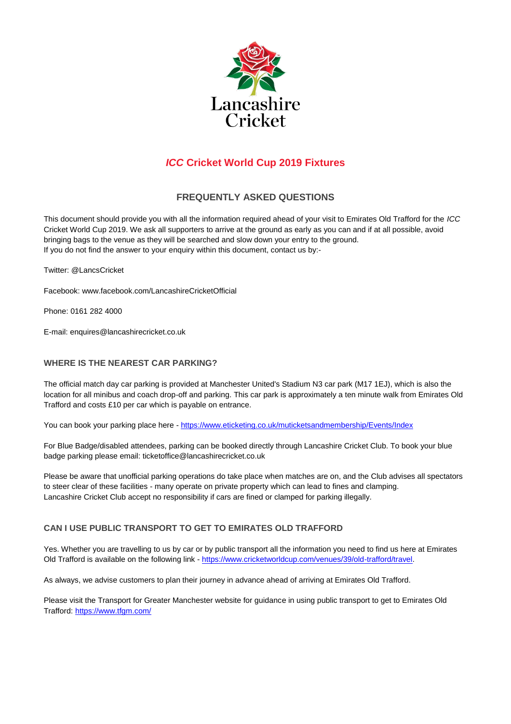

# *ICC* **Cricket World Cup 2019 Fixtures**

# **FREQUENTLY ASKED QUESTIONS**

This document should provide you with all the information required ahead of your visit to Emirates Old Trafford for the *ICC*  Cricket World Cup 2019. We ask all supporters to arrive at the ground as early as you can and if at all possible, avoid bringing bags to the venue as they will be searched and slow down your entry to the ground. If you do not find the answer to your enquiry within this document, contact us by:-

Twitter: @LancsCricket

Facebook: www.facebook.com/LancashireCricketOfficial

Phone: 0161 282 4000

E-mail: enquires@lancashirecricket.co.uk

# **WHERE IS THE NEAREST CAR PARKING?**

The official match day car parking is provided at Manchester United's Stadium N3 car park (M17 1EJ), which is also the location for all minibus and coach drop-off and parking. This car park is approximately a ten minute walk from Emirates Old Trafford and costs £10 per car which is payable on entrance.

You can book your parking place here - <https://www.eticketing.co.uk/muticketsandmembership/Events/Index>

For Blue Badge/disabled attendees, parking can be booked directly through Lancashire Cricket Club. To book your blue badge parking please email: ticketoffice@lancashirecricket.co.uk

Please be aware that unofficial parking operations do take place when matches are on, and the Club advises all spectators to steer clear of these facilities - many operate on private property which can lead to fines and clamping. Lancashire Cricket Club accept no responsibility if cars are fined or clamped for parking illegally.

# **CAN I USE PUBLIC TRANSPORT TO GET TO EMIRATES OLD TRAFFORD**

Yes. Whether you are travelling to us by car or by public transport all the information you need to find us here at Emirates Old Trafford is available on the following link - [https://www.cricketworldcup.com/venues/39/old-trafford/travel.](https://www.cricketworldcup.com/venues/39/old-trafford/travel)

As always, we advise customers to plan their journey in advance ahead of arriving at Emirates Old Trafford.

Please visit the Transport for Greater Manchester website for guidance in using public transport to get to Emirates Old Trafford[: https://www.tfgm.com/](https://www.tfgm.com/)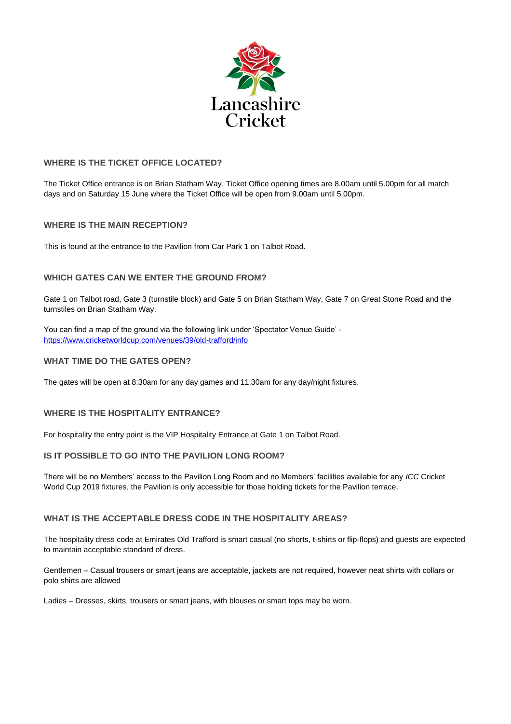

# **WHERE IS THE TICKET OFFICE LOCATED?**

The Ticket Office entrance is on Brian Statham Way. Ticket Office opening times are 8.00am until 5.00pm for all match days and on Saturday 15 June where the Ticket Office will be open from 9.00am until 5.00pm.

# **WHERE IS THE MAIN RECEPTION?**

This is found at the entrance to the Pavilion from Car Park 1 on Talbot Road.

# **WHICH GATES CAN WE ENTER THE GROUND FROM?**

Gate 1 on Talbot road, Gate 3 (turnstile block) and Gate 5 on Brian Statham Way, Gate 7 on Great Stone Road and the turnstiles on Brian Statham Way.

You can find a map of the ground via the following link under 'Spectator Venue Guide' <https://www.cricketworldcup.com/venues/39/old-trafford/info>

### **WHAT TIME DO THE GATES OPEN?**

The gates will be open at 8:30am for any day games and 11:30am for any day/night fixtures.

# **WHERE IS THE HOSPITALITY ENTRANCE?**

For hospitality the entry point is the VIP Hospitality Entrance at Gate 1 on Talbot Road.

# **IS IT POSSIBLE TO GO INTO THE PAVILION LONG ROOM?**

There will be no Members' access to the Pavilion Long Room and no Members' facilities available for any *ICC* Cricket World Cup 2019 fixtures, the Pavilion is only accessible for those holding tickets for the Pavilion terrace.

#### **WHAT IS THE ACCEPTABLE DRESS CODE IN THE HOSPITALITY AREAS?**

The hospitality dress code at Emirates Old Trafford is smart casual (no shorts, t-shirts or flip-flops) and guests are expected to maintain acceptable standard of dress.

Gentlemen – Casual trousers or smart jeans are acceptable, jackets are not required, however neat shirts with collars or polo shirts are allowed

Ladies – Dresses, skirts, trousers or smart jeans, with blouses or smart tops may be worn.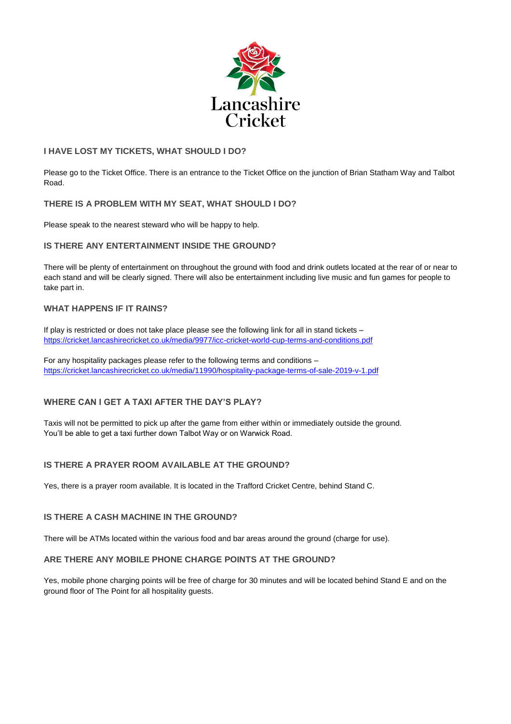

# **I HAVE LOST MY TICKETS, WHAT SHOULD I DO?**

Please go to the Ticket Office. There is an entrance to the Ticket Office on the junction of Brian Statham Way and Talbot Road.

### **THERE IS A PROBLEM WITH MY SEAT, WHAT SHOULD I DO?**

Please speak to the nearest steward who will be happy to help.

### **IS THERE ANY ENTERTAINMENT INSIDE THE GROUND?**

There will be plenty of entertainment on throughout the ground with food and drink outlets located at the rear of or near to each stand and will be clearly signed. There will also be entertainment including live music and fun games for people to take part in.

### **WHAT HAPPENS IF IT RAINS?**

If play is restricted or does not take place please see the following link for all in stand tickets – <https://cricket.lancashirecricket.co.uk/media/9977/icc-cricket-world-cup-terms-and-conditions.pdf>

For any hospitality packages please refer to the following terms and conditions – <https://cricket.lancashirecricket.co.uk/media/11990/hospitality-package-terms-of-sale-2019-v-1.pdf>

# **WHERE CAN I GET A TAXI AFTER THE DAY'S PLAY?**

Taxis will not be permitted to pick up after the game from either within or immediately outside the ground. You'll be able to get a taxi further down Talbot Way or on Warwick Road.

# **IS THERE A PRAYER ROOM AVAILABLE AT THE GROUND?**

Yes, there is a prayer room available. It is located in the Trafford Cricket Centre, behind Stand C.

### **IS THERE A CASH MACHINE IN THE GROUND?**

There will be ATMs located within the various food and bar areas around the ground (charge for use).

### **ARE THERE ANY MOBILE PHONE CHARGE POINTS AT THE GROUND?**

Yes, mobile phone charging points will be free of charge for 30 minutes and will be located behind Stand E and on the ground floor of The Point for all hospitality guests.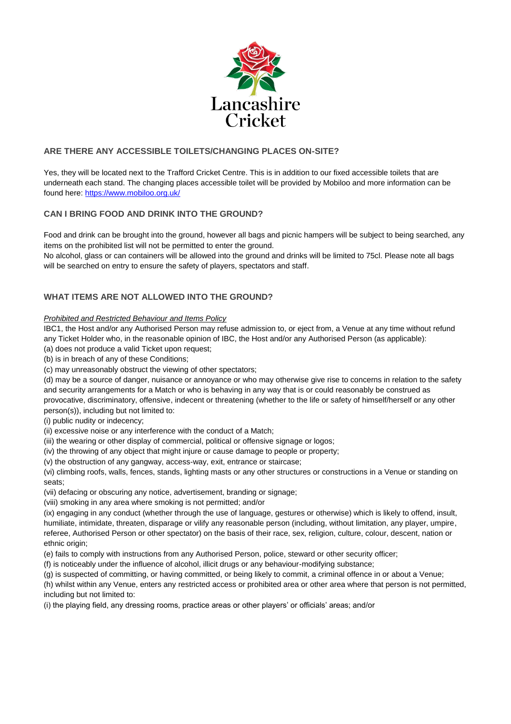

# **ARE THERE ANY ACCESSIBLE TOILETS/CHANGING PLACES ON-SITE?**

Yes, they will be located next to the Trafford Cricket Centre. This is in addition to our fixed accessible toilets that are underneath each stand. The changing places accessible toilet will be provided by Mobiloo and more information can be found here:<https://www.mobiloo.org.uk/>

# **CAN I BRING FOOD AND DRINK INTO THE GROUND?**

Food and drink can be brought into the ground, however all bags and picnic hampers will be subject to being searched, any items on the prohibited list will not be permitted to enter the ground.

No alcohol, glass or can containers will be allowed into the ground and drinks will be limited to 75cl. Please note all bags will be searched on entry to ensure the safety of players, spectators and staff.

# **WHAT ITEMS ARE NOT ALLOWED INTO THE GROUND?**

#### *Prohibited and Restricted Behaviour and Items Policy*

IBC1, the Host and/or any Authorised Person may refuse admission to, or eject from, a Venue at any time without refund any Ticket Holder who, in the reasonable opinion of IBC, the Host and/or any Authorised Person (as applicable):

- (a) does not produce a valid Ticket upon request;
- (b) is in breach of any of these Conditions;
- (c) may unreasonably obstruct the viewing of other spectators;

(d) may be a source of danger, nuisance or annoyance or who may otherwise give rise to concerns in relation to the safety and security arrangements for a Match or who is behaving in any way that is or could reasonably be construed as provocative, discriminatory, offensive, indecent or threatening (whether to the life or safety of himself/herself or any other person(s)), including but not limited to:

(i) public nudity or indecency;

- (ii) excessive noise or any interference with the conduct of a Match;
- (iii) the wearing or other display of commercial, political or offensive signage or logos;
- (iv) the throwing of any object that might injure or cause damage to people or property;
- (v) the obstruction of any gangway, access-way, exit, entrance or staircase;

(vi) climbing roofs, walls, fences, stands, lighting masts or any other structures or constructions in a Venue or standing on seats;

- (vii) defacing or obscuring any notice, advertisement, branding or signage;
- (viii) smoking in any area where smoking is not permitted; and/or

(ix) engaging in any conduct (whether through the use of language, gestures or otherwise) which is likely to offend, insult, humiliate, intimidate, threaten, disparage or vilify any reasonable person (including, without limitation, any player, umpire, referee, Authorised Person or other spectator) on the basis of their race, sex, religion, culture, colour, descent, nation or ethnic origin:

- (e) fails to comply with instructions from any Authorised Person, police, steward or other security officer;
- (f) is noticeably under the influence of alcohol, illicit drugs or any behaviour-modifying substance;
- (g) is suspected of committing, or having committed, or being likely to commit, a criminal offence in or about a Venue;

(h) whilst within any Venue, enters any restricted access or prohibited area or other area where that person is not permitted, including but not limited to:

(i) the playing field, any dressing rooms, practice areas or other players' or officials' areas; and/or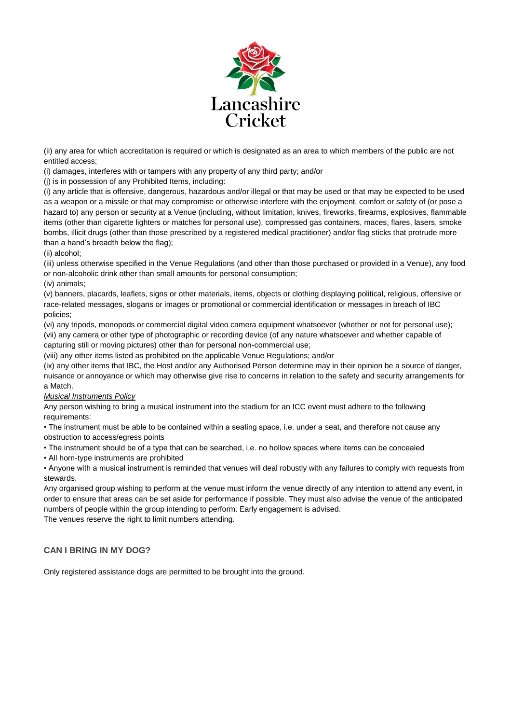

(ii) any area for which accreditation is required or which is designated as an area to which members of the public are not entitled access;

(i) damages, interferes with or tampers with any property of any third party; and/or

(j) is in possession of any Prohibited Items, including:

(i) any article that is offensive, dangerous, hazardous and/or illegal or that may be used or that may be expected to be used as a weapon or a missile or that may compromise or otherwise interfere with the enjoyment, comfort or safety of (or pose a hazard to) any person or security at a Venue (including, without limitation, knives, fireworks, firearms, explosives, flammable items (other than cigarette lighters or matches for personal use), compressed gas containers, maces, flares, lasers, smoke bombs, illicit drugs (other than those prescribed by a registered medical practitioner) and/or flag sticks that protrude more than a hand's breadth below the flag);

(ii) alcohol;

(iii) unless otherwise specified in the Venue Regulations (and other than those purchased or provided in a Venue), any food or non-alcoholic drink other than small amounts for personal consumption;

(iv) animals;

(v) banners, placards, leaflets, signs or other materials, items, objects or clothing displaying political, religious, offensive or race-related messages, slogans or images or promotional or commercial identification or messages in breach of IBC policies;

(vi) any tripods, monopods or commercial digital video camera equipment whatsoever (whether or not for personal use); (vii) any camera or other type of photographic or recording device (of any nature whatsoever and whether capable of capturing still or moving pictures) other than for personal non-commercial use;

(viii) any other items listed as prohibited on the applicable Venue Regulations; and/or

(ix) any other items that IBC, the Host and/or any Authorised Person determine may in their opinion be a source of danger, nuisance or annoyance or which may otherwise give rise to concerns in relation to the safety and security arrangements for a Match.

# *Musical Instruments Policy*

Any person wishing to bring a musical instrument into the stadium for an ICC event must adhere to the following requirements:

• The instrument must be able to be contained within a seating space, i.e. under a seat, and therefore not cause any obstruction to access/egress points

• The instrument should be of a type that can be searched, i.e. no hollow spaces where items can be concealed

• All horn-type instruments are prohibited

• Anyone with a musical instrument is reminded that venues will deal robustly with any failures to comply with requests from stewards.

Any organised group wishing to perform at the venue must inform the venue directly of any intention to attend any event, in order to ensure that areas can be set aside for performance if possible. They must also advise the venue of the anticipated numbers of people within the group intending to perform. Early engagement is advised.

The venues reserve the right to limit numbers attending.

# **CAN I BRING IN MY DOG?**

Only registered assistance dogs are permitted to be brought into the ground.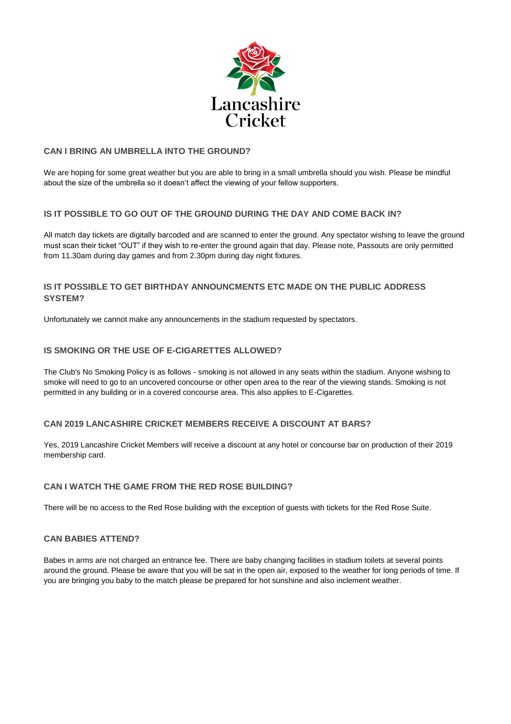

### **CAN I BRING AN UMBRELLA INTO THE GROUND?**

We are hoping for some great weather but you are able to bring in a small umbrella should you wish. Please be mindful about the size of the umbrella so it doesn't affect the viewing of your fellow supporters.

# **IS IT POSSIBLE TO GO OUT OF THE GROUND DURING THE DAY AND COME BACK IN?**

All match day tickets are digitally barcoded and are scanned to enter the ground. Any spectator wishing to leave the ground must scan their ticket "OUT" if they wish to re-enter the ground again that day. Please note, Passouts are only permitted from 11.30am during day games and from 2.30pm during day night fixtures.

# **IS IT POSSIBLE TO GET BIRTHDAY ANNOUNCMENTS ETC MADE ON THE PUBLIC ADDRESS SYSTEM?**

Unfortunately we cannot make any announcements in the stadium requested by spectators.

### **IS SMOKING OR THE USE OF E-CIGARETTES ALLOWED?**

The Club's No Smoking Policy is as follows - smoking is not allowed in any seats within the stadium. Anyone wishing to smoke will need to go to an uncovered concourse or other open area to the rear of the viewing stands. Smoking is not permitted in any building or in a covered concourse area. This also applies to E-Cigarettes.

# **CAN 2019 LANCASHIRE CRICKET MEMBERS RECEIVE A DISCOUNT AT BARS?**

Yes, 2019 Lancashire Cricket Members will receive a discount at any hotel or concourse bar on production of their 2019 membership card.

# **CAN I WATCH THE GAME FROM THE RED ROSE BUILDING?**

There will be no access to the Red Rose building with the exception of guests with tickets for the Red Rose Suite.

#### **CAN BABIES ATTEND?**

Babes in arms are not charged an entrance fee. There are baby changing facilities in stadium toilets at several points around the ground. Please be aware that you will be sat in the open air, exposed to the weather for long periods of time. If you are bringing you baby to the match please be prepared for hot sunshine and also inclement weather.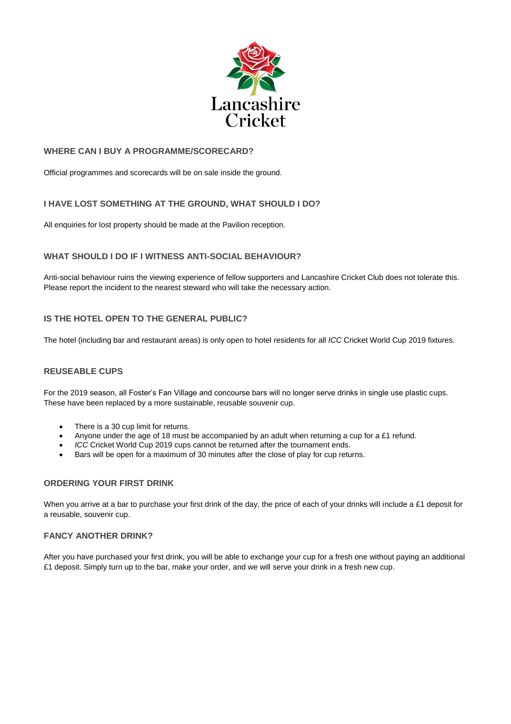

### **WHERE CAN I BUY A PROGRAMME/SCORECARD?**

Official programmes and scorecards will be on sale inside the ground.

# **I HAVE LOST SOMETHING AT THE GROUND, WHAT SHOULD I DO?**

All enquiries for lost property should be made at the Pavilion reception.

### **WHAT SHOULD I DO IF I WITNESS ANTI-SOCIAL BEHAVIOUR?**

Anti-social behaviour ruins the viewing experience of fellow supporters and Lancashire Cricket Club does not tolerate this. Please report the incident to the nearest steward who will take the necessary action.

### **IS THE HOTEL OPEN TO THE GENERAL PUBLIC?**

The hotel (including bar and restaurant areas) is only open to hotel residents for all *ICC* Cricket World Cup 2019 fixtures.

#### **REUSEABLE CUPS**

For the 2019 season, all Foster's Fan Village and concourse bars will no longer serve drinks in single use plastic cups. These have been replaced by a more sustainable, reusable souvenir cup.

- There is a 30 cup limit for returns.
- Anyone under the age of 18 must be accompanied by an adult when returning a cup for a £1 refund.
- *ICC* Cricket World Cup 2019 cups cannot be returned after the tournament ends.
- Bars will be open for a maximum of 30 minutes after the close of play for cup returns.

#### **ORDERING YOUR FIRST DRINK**

When you arrive at a bar to purchase your first drink of the day, the price of each of your drinks will include a £1 deposit for a reusable, souvenir cup.

#### **FANCY ANOTHER DRINK?**

After you have purchased your first drink, you will be able to exchange your cup for a fresh one without paying an additional £1 deposit. Simply turn up to the bar, make your order, and we will serve your drink in a fresh new cup.